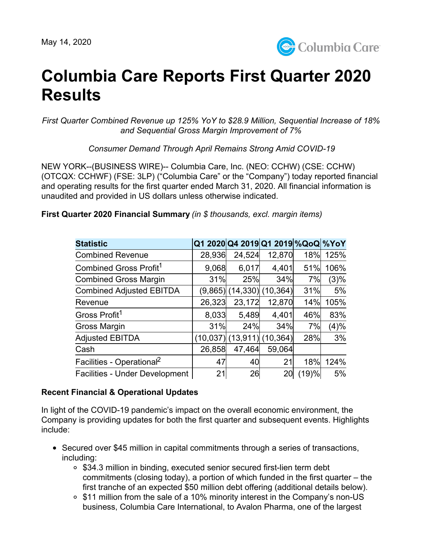

# **Columbia Care Reports First Quarter 2020 Results**

*First Quarter Combined Revenue up 125% YoY to \$28.9 Million, Sequential Increase of 18% and Sequential Gross Margin Improvement of 7%*

*Consumer Demand Through April Remains Strong Amid COVID-19*

NEW YORK--(BUSINESS WIRE)-- Columbia Care, Inc. (NEO: CCHW) (CSE: CCHW) (OTCQX: CCHWF) (FSE: 3LP) ("Columbia Care" or the "Company") today reported financial and operating results for the first quarter ended March 31, 2020. All financial information is unaudited and provided in US dollars unless otherwise indicated.

| <b>Statistic</b>                      |           | Q1 2020 Q4 2019 Q1 2019 % QoQ % YoY |                     |       |      |
|---------------------------------------|-----------|-------------------------------------|---------------------|-------|------|
| <b>Combined Revenue</b>               | 28,936    | 24,524                              | 12,870              | 18%   | 125% |
| Combined Gross Profit <sup>1</sup>    | 9,068     | 6,017                               | 4,401               | 51%   | 106% |
| <b>Combined Gross Margin</b>          | 31%       | 25%                                 | 34%                 | 7%    | (3)% |
| <b>Combined Adjusted EBITDA</b>       | (9,865)   |                                     | $(14,330)$ (10,364) | 31%   | 5%   |
| Revenue                               | 26,323    | 23,172                              | 12,870              | 14%   | 105% |
| Gross Profit <sup>1</sup>             | 8,033     | 5,489                               | 4,401               | 46%   | 83%  |
| Gross Margin                          | 31%       | 24%                                 | 34%                 | 7%    | (4)% |
| <b>Adjusted EBITDA</b>                | (10, 037) | (13,911                             | (10, 364)           | 28%   | 3%   |
| Cash                                  | 26,858    | 47,464                              | 59,064              |       |      |
| Facilities - Operational <sup>2</sup> | 47        | 40                                  | 21                  | 18%   | 124% |
| <b>Facilities - Under Development</b> | 21        | 26                                  | 20                  | (19)% | 5%   |

**First Quarter 2020 Financial Summary** *(in \$ thousands, excl. margin items)*

## **Recent Financial & Operational Updates**

In light of the COVID-19 pandemic's impact on the overall economic environment, the Company is providing updates for both the first quarter and subsequent events. Highlights include:

- Secured over \$45 million in capital commitments through a series of transactions, including:
	- \$34.3 million in binding, executed senior secured first-lien term debt commitments (closing today), a portion of which funded in the first quarter – the first tranche of an expected \$50 million debt offering (additional details below).
	- \$11 million from the sale of a 10% minority interest in the Company's non-US business, Columbia Care International, to Avalon Pharma, one of the largest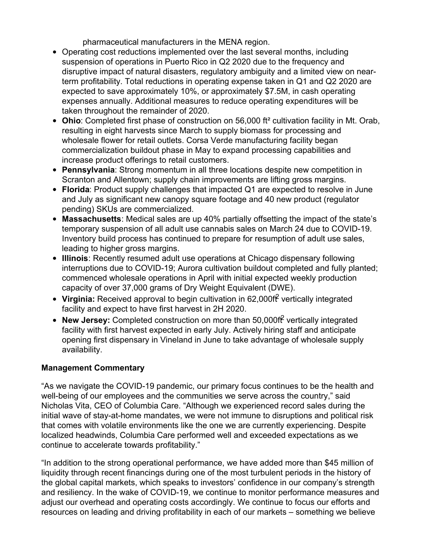pharmaceutical manufacturers in the MENA region.

- Operating cost reductions implemented over the last several months, including suspension of operations in Puerto Rico in Q2 2020 due to the frequency and disruptive impact of natural disasters, regulatory ambiguity and a limited view on nearterm profitability. Total reductions in operating expense taken in Q1 and Q2 2020 are expected to save approximately 10%, or approximately \$7.5M, in cash operating expenses annually. Additional measures to reduce operating expenditures will be taken throughout the remainder of 2020.
- **Ohio**: Completed first phase of construction on 56,000 ft² cultivation facility in Mt. Orab, resulting in eight harvests since March to supply biomass for processing and wholesale flower for retail outlets. Corsa Verde manufacturing facility began commercialization buildout phase in May to expand processing capabilities and increase product offerings to retail customers.
- **Pennsylvania**: Strong momentum in all three locations despite new competition in Scranton and Allentown; supply chain improvements are lifting gross margins.
- **Florida**: Product supply challenges that impacted Q1 are expected to resolve in June and July as significant new canopy square footage and 40 new product (regulator pending) SKUs are commercialized.
- **Massachusetts**: Medical sales are up 40% partially offsetting the impact of the state's temporary suspension of all adult use cannabis sales on March 24 due to COVID-19. Inventory build process has continued to prepare for resumption of adult use sales, leading to higher gross margins.
- **Illinois**: Recently resumed adult use operations at Chicago dispensary following interruptions due to COVID-19; Aurora cultivation buildout completed and fully planted; commenced wholesale operations in April with initial expected weekly production capacity of over 37,000 grams of Dry Weight Equivalent (DWE).
- **Virginia:** Received approval to begin cultivation in 62,000ft vertically integrated facility and expect to have first harvest in 2H 2020.
- New Jersey: Completed construction on more than 50,000ff<sup>2</sup> vertically integrated facility with first harvest expected in early July. Actively hiring staff and anticipate opening first dispensary in Vineland in June to take advantage of wholesale supply availability.

## **Management Commentary**

"As we navigate the COVID-19 pandemic, our primary focus continues to be the health and well-being of our employees and the communities we serve across the country," said Nicholas Vita, CEO of Columbia Care. "Although we experienced record sales during the initial wave of stay-at-home mandates, we were not immune to disruptions and political risk that comes with volatile environments like the one we are currently experiencing. Despite localized headwinds, Columbia Care performed well and exceeded expectations as we continue to accelerate towards profitability."

"In addition to the strong operational performance, we have added more than \$45 million of liquidity through recent financings during one of the most turbulent periods in the history of the global capital markets, which speaks to investors' confidence in our company's strength and resiliency. In the wake of COVID-19, we continue to monitor performance measures and adjust our overhead and operating costs accordingly. We continue to focus our efforts and resources on leading and driving profitability in each of our markets – something we believe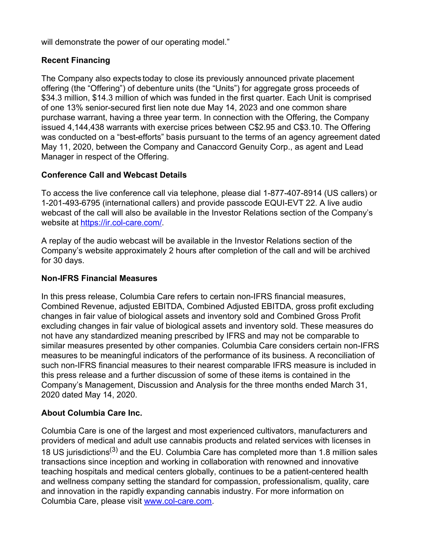will demonstrate the power of our operating model."

# **Recent Financing**

The Company also expects today to close its previously announced private placement offering (the "Offering") of debenture units (the "Units") for aggregate gross proceeds of \$34.3 million, \$14.3 million of which was funded in the first quarter. Each Unit is comprised of one 13% senior-secured first lien note due May 14, 2023 and one common share purchase warrant, having a three year term. In connection with the Offering, the Company issued 4,144,438 warrants with exercise prices between C\$2.95 and C\$3.10. The Offering was conducted on a "best-efforts" basis pursuant to the terms of an agency agreement dated May 11, 2020, between the Company and Canaccord Genuity Corp., as agent and Lead Manager in respect of the Offering.

## **Conference Call and Webcast Details**

To access the live conference call via telephone, please dial 1-877-407-8914 (US callers) or 1-201-493-6795 (international callers) and provide passcode EQUI-EVT 22. A live audio webcast of the call will also be available in the Investor Relations section of the Company's website at [https://ir.col-care.com/.](https://ir.col-care.com/)

A replay of the audio webcast will be available in the Investor Relations section of the Company's website approximately 2 hours after completion of the call and will be archived for 30 days.

# **Non-IFRS Financial Measures**

In this press release, Columbia Care refers to certain non-IFRS financial measures, Combined Revenue, adjusted EBITDA, Combined Adjusted EBITDA, gross profit excluding changes in fair value of biological assets and inventory sold and Combined Gross Profit excluding changes in fair value of biological assets and inventory sold. These measures do not have any standardized meaning prescribed by IFRS and may not be comparable to similar measures presented by other companies. Columbia Care considers certain non-IFRS measures to be meaningful indicators of the performance of its business. A reconciliation of such non-IFRS financial measures to their nearest comparable IFRS measure is included in this press release and a further discussion of some of these items is contained in the Company's Management, Discussion and Analysis for the three months ended March 31, 2020 dated May 14, 2020.

# **About Columbia Care Inc.**

Columbia Care is one of the largest and most experienced cultivators, manufacturers and providers of medical and adult use cannabis products and related services with licenses in 18 US jurisdictions<sup>(3)</sup> and the EU. Columbia Care has completed more than 1.8 million sales transactions since inception and working in collaboration with renowned and innovative teaching hospitals and medical centers globally, continues to be a patient-centered health and wellness company setting the standard for compassion, professionalism, quality, care and innovation in the rapidly expanding cannabis industry. For more information on Columbia Care, please visit [www.col-care.com.](http://www.col-care.com)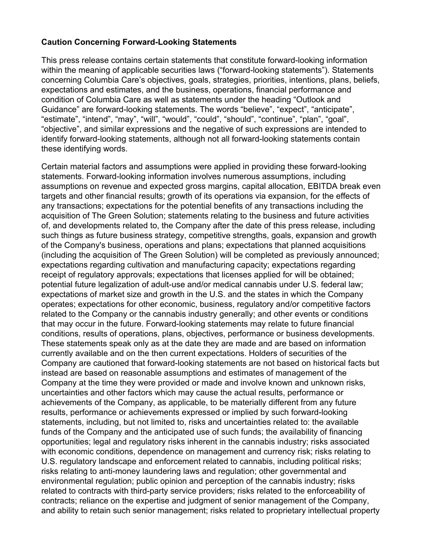## **Caution Concerning Forward-Looking Statements**

This press release contains certain statements that constitute forward-looking information within the meaning of applicable securities laws ("forward-looking statements"). Statements concerning Columbia Care's objectives, goals, strategies, priorities, intentions, plans, beliefs, expectations and estimates, and the business, operations, financial performance and condition of Columbia Care as well as statements under the heading "Outlook and Guidance" are forward-looking statements. The words "believe", "expect", "anticipate", "estimate", "intend", "may", "will", "would", "could", "should", "continue", "plan", "goal", "objective", and similar expressions and the negative of such expressions are intended to identify forward-looking statements, although not all forward-looking statements contain these identifying words.

Certain material factors and assumptions were applied in providing these forward-looking statements. Forward-looking information involves numerous assumptions, including assumptions on revenue and expected gross margins, capital allocation, EBITDA break even targets and other financial results; growth of its operations via expansion, for the effects of any transactions; expectations for the potential benefits of any transactions including the acquisition of The Green Solution; statements relating to the business and future activities of, and developments related to, the Company after the date of this press release, including such things as future business strategy, competitive strengths, goals, expansion and growth of the Company's business, operations and plans; expectations that planned acquisitions (including the acquisition of The Green Solution) will be completed as previously announced; expectations regarding cultivation and manufacturing capacity; expectations regarding receipt of regulatory approvals; expectations that licenses applied for will be obtained; potential future legalization of adult-use and/or medical cannabis under U.S. federal law; expectations of market size and growth in the U.S. and the states in which the Company operates; expectations for other economic, business, regulatory and/or competitive factors related to the Company or the cannabis industry generally; and other events or conditions that may occur in the future. Forward-looking statements may relate to future financial conditions, results of operations, plans, objectives, performance or business developments. These statements speak only as at the date they are made and are based on information currently available and on the then current expectations. Holders of securities of the Company are cautioned that forward-looking statements are not based on historical facts but instead are based on reasonable assumptions and estimates of management of the Company at the time they were provided or made and involve known and unknown risks, uncertainties and other factors which may cause the actual results, performance or achievements of the Company, as applicable, to be materially different from any future results, performance or achievements expressed or implied by such forward-looking statements, including, but not limited to, risks and uncertainties related to: the available funds of the Company and the anticipated use of such funds; the availability of financing opportunities; legal and regulatory risks inherent in the cannabis industry; risks associated with economic conditions, dependence on management and currency risk; risks relating to U.S. regulatory landscape and enforcement related to cannabis, including political risks; risks relating to anti-money laundering laws and regulation; other governmental and environmental regulation; public opinion and perception of the cannabis industry; risks related to contracts with third-party service providers; risks related to the enforceability of contracts; reliance on the expertise and judgment of senior management of the Company, and ability to retain such senior management; risks related to proprietary intellectual property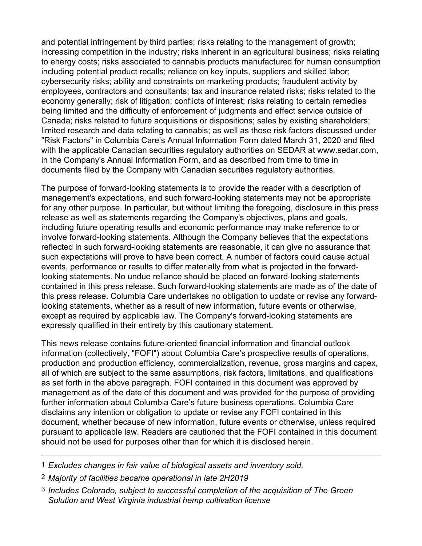and potential infringement by third parties; risks relating to the management of growth; increasing competition in the industry; risks inherent in an agricultural business; risks relating to energy costs; risks associated to cannabis products manufactured for human consumption including potential product recalls; reliance on key inputs, suppliers and skilled labor; cybersecurity risks; ability and constraints on marketing products; fraudulent activity by employees, contractors and consultants; tax and insurance related risks; risks related to the economy generally; risk of litigation; conflicts of interest; risks relating to certain remedies being limited and the difficulty of enforcement of judgments and effect service outside of Canada; risks related to future acquisitions or dispositions; sales by existing shareholders; limited research and data relating to cannabis; as well as those risk factors discussed under "Risk Factors" in Columbia Care's Annual Information Form dated March 31, 2020 and filed with the applicable Canadian securities regulatory authorities on SEDAR at www.sedar.com, in the Company's Annual Information Form, and as described from time to time in documents filed by the Company with Canadian securities regulatory authorities.

The purpose of forward-looking statements is to provide the reader with a description of management's expectations, and such forward-looking statements may not be appropriate for any other purpose. In particular, but without limiting the foregoing, disclosure in this press release as well as statements regarding the Company's objectives, plans and goals, including future operating results and economic performance may make reference to or involve forward-looking statements. Although the Company believes that the expectations reflected in such forward-looking statements are reasonable, it can give no assurance that such expectations will prove to have been correct. A number of factors could cause actual events, performance or results to differ materially from what is projected in the forwardlooking statements. No undue reliance should be placed on forward-looking statements contained in this press release. Such forward-looking statements are made as of the date of this press release. Columbia Care undertakes no obligation to update or revise any forwardlooking statements, whether as a result of new information, future events or otherwise, except as required by applicable law. The Company's forward-looking statements are expressly qualified in their entirety by this cautionary statement.

This news release contains future-oriented financial information and financial outlook information (collectively, "FOFI") about Columbia Care's prospective results of operations, production and production efficiency, commercialization, revenue, gross margins and capex, all of which are subject to the same assumptions, risk factors, limitations, and qualifications as set forth in the above paragraph. FOFI contained in this document was approved by management as of the date of this document and was provided for the purpose of providing further information about Columbia Care's future business operations. Columbia Care disclaims any intention or obligation to update or revise any FOFI contained in this document, whether because of new information, future events or otherwise, unless required pursuant to applicable law. Readers are cautioned that the FOFI contained in this document should not be used for purposes other than for which it is disclosed herein.

- 1 *Excludes changes in fair value of biological assets and inventory sold.*
- 2 *Majority of facilities became operational in late 2H2019*
- 3 *Includes Colorado, subject to successful completion of the acquisition of The Green Solution and West Virginia industrial hemp cultivation license*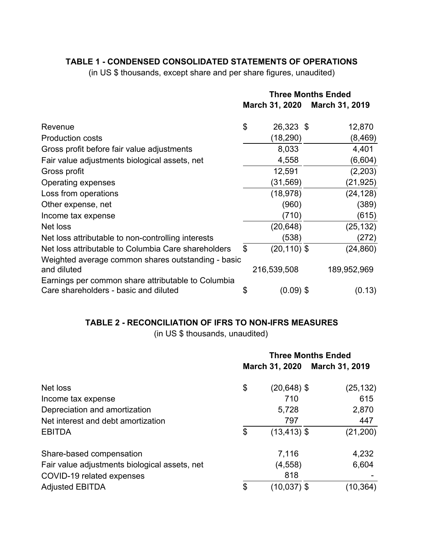# **TABLE 1 - CONDENSED CONSOLIDATED STATEMENTS OF OPERATIONS**

(in US \$ thousands, except share and per share figures, unaudited)

|                                                                   | <b>Three Months Ended</b> |                       |                       |  |
|-------------------------------------------------------------------|---------------------------|-----------------------|-----------------------|--|
|                                                                   |                           | <b>March 31, 2020</b> | <b>March 31, 2019</b> |  |
| Revenue                                                           | $\mathfrak{S}$            | 26,323 \$             | 12,870                |  |
| <b>Production costs</b>                                           |                           | (18, 290)             | (8, 469)              |  |
| Gross profit before fair value adjustments                        |                           | 8,033                 | 4,401                 |  |
| Fair value adjustments biological assets, net                     |                           | 4,558                 | (6,604)               |  |
| Gross profit                                                      |                           | 12,591                | (2,203)               |  |
| Operating expenses                                                |                           | (31,569)              | (21, 925)             |  |
| Loss from operations                                              |                           | (18, 978)             | (24, 128)             |  |
| Other expense, net                                                |                           | (960)                 | (389)                 |  |
| Income tax expense                                                |                           | (710)                 | (615)                 |  |
| Net loss                                                          |                           | (20, 648)             | (25, 132)             |  |
| Net loss attributable to non-controlling interests                |                           | (538)                 | (272)                 |  |
| Net loss attributable to Columbia Care shareholders               | \$                        | $(20, 110)$ \$        | (24, 860)             |  |
| Weighted average common shares outstanding - basic<br>and diluted |                           | 216,539,508           | 189,952,969           |  |
| Earnings per common share attributable to Columbia                |                           |                       |                       |  |
| Care shareholders - basic and diluted                             | \$                        | $(0.09)$ \$           | (0.13)                |  |

# **TABLE 2 - RECONCILIATION OF IFRS TO NON-IFRS MEASURES**

(in US \$ thousands, unaudited)

|                                                                     | <b>Three Months Ended</b><br>March 31, 2020<br><b>March 31, 2019</b> |                |              |
|---------------------------------------------------------------------|----------------------------------------------------------------------|----------------|--------------|
| Net loss                                                            | \$                                                                   | $(20, 648)$ \$ | (25, 132)    |
| Income tax expense                                                  |                                                                      | 710<br>5,728   | 615<br>2,870 |
| Depreciation and amortization<br>Net interest and debt amortization |                                                                      | 797            | 447          |
| <b>EBITDA</b>                                                       | $\mathfrak{L}$                                                       | $(13, 413)$ \$ | (21, 200)    |
| Share-based compensation                                            |                                                                      | 7,116          | 4,232        |
| Fair value adjustments biological assets, net                       |                                                                      | (4, 558)       | 6,604        |
| COVID-19 related expenses                                           |                                                                      | 818            |              |
| <b>Adjusted EBITDA</b>                                              | \$                                                                   | $(10,037)$ \$  | (10,364)     |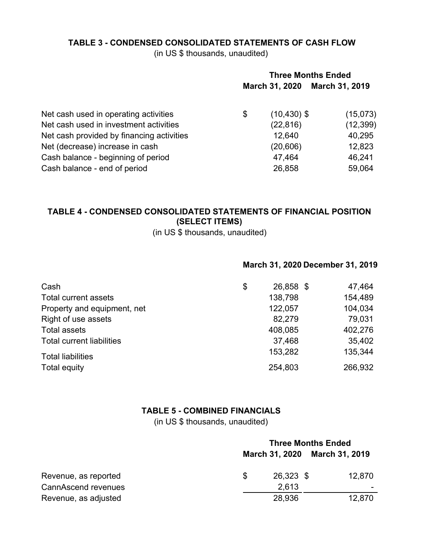## **TABLE 3 - CONDENSED CONSOLIDATED STATEMENTS OF CASH FLOW**

(in US \$ thousands, unaudited)

|                                           | <b>Three Months Ended</b> |                |                       |  |
|-------------------------------------------|---------------------------|----------------|-----------------------|--|
|                                           |                           | March 31, 2020 | <b>March 31, 2019</b> |  |
| Net cash used in operating activities     | \$                        | $(10, 430)$ \$ | (15,073)              |  |
| Net cash used in investment activities    |                           | (22, 816)      | (12, 399)             |  |
| Net cash provided by financing activities |                           | 12,640         | 40,295                |  |
| Net (decrease) increase in cash           |                           | (20, 606)      | 12,823                |  |
| Cash balance - beginning of period        |                           | 47,464         | 46,241                |  |
| Cash balance - end of period              |                           | 26,858         | 59,064                |  |

# **TABLE 4 - CONDENSED CONSOLIDATED STATEMENTS OF FINANCIAL POSITION (SELECT ITEMS)**

(in US \$ thousands, unaudited)

### **March 31, 2020 December 31, 2019**

| Cash                             | \$<br>26,858 \$ | 47,464  |
|----------------------------------|-----------------|---------|
| Total current assets             | 138,798         | 154,489 |
| Property and equipment, net      | 122,057         | 104,034 |
| Right of use assets              | 82,279          | 79,031  |
| <b>Total assets</b>              | 408,085         | 402,276 |
| <b>Total current liabilities</b> | 37,468          | 35,402  |
| <b>Total liabilities</b>         | 153,282         | 135,344 |
| Total equity                     | 254,803         | 266,932 |

## **TABLE 5 - COMBINED FINANCIALS**

(in US \$ thousands, unaudited)

|                      | <b>Three Months Ended</b> |                               |        |  |
|----------------------|---------------------------|-------------------------------|--------|--|
|                      |                           | March 31, 2020 March 31, 2019 |        |  |
| Revenue, as reported | \$.                       | 26,323 \$                     | 12,870 |  |
| CannAscend revenues  |                           | 2.613                         |        |  |
| Revenue, as adjusted |                           | 28,936                        | 12,870 |  |